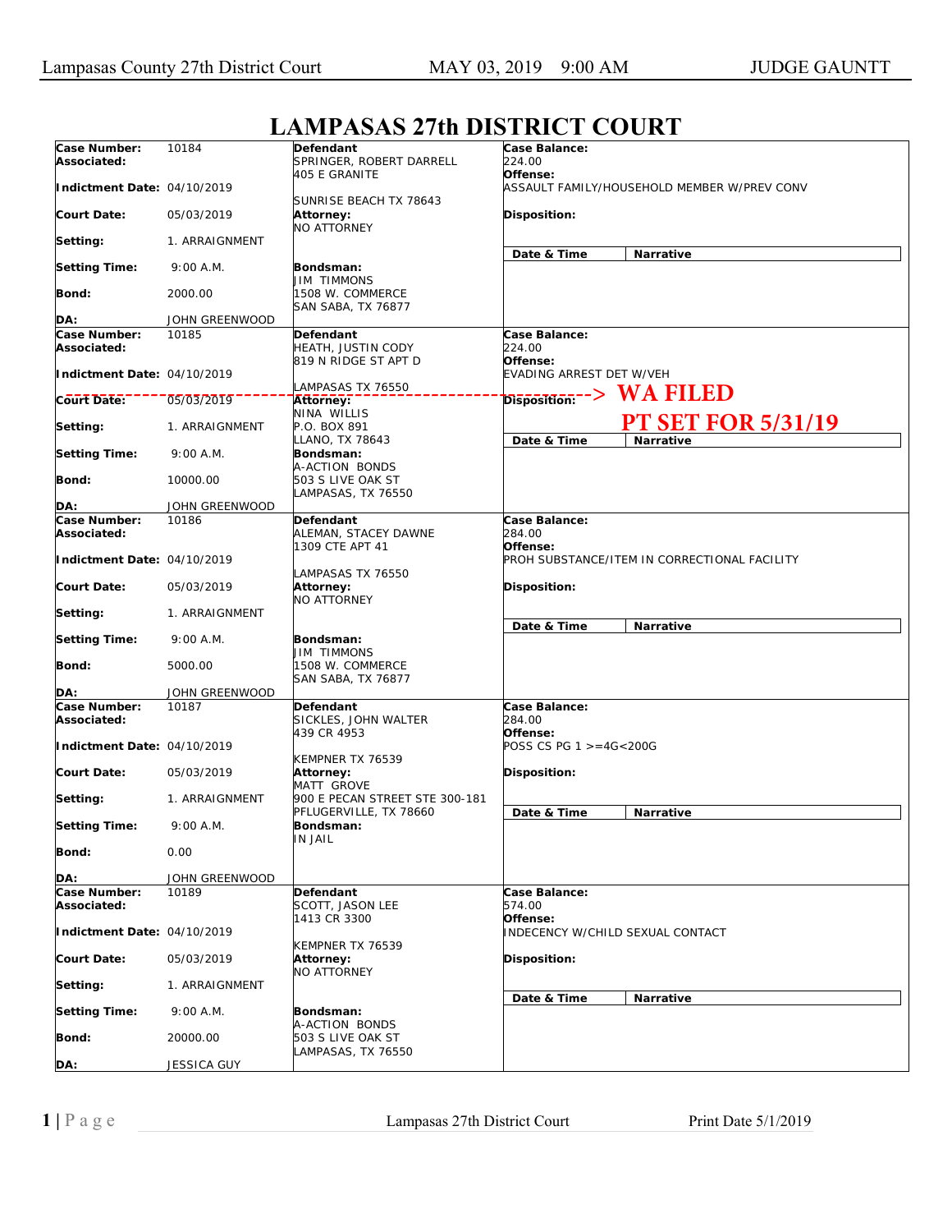| Case Number:<br>Associated: | 10184          | Defendant<br>SPRINGER, ROBERT DARRELL                   | Case Balance:<br>224.00                                      |
|-----------------------------|----------------|---------------------------------------------------------|--------------------------------------------------------------|
| Indictment Date: 04/10/2019 |                | 405 E GRANITE<br>SUNRISE BEACH TX 78643                 | Offense:<br>ASSAULT FAMILY/HOUSEHOLD MEMBER W/PREV CONV      |
| Court Date:                 | 05/03/2019     | Attorney:<br><b>NO ATTORNEY</b>                         | Disposition:                                                 |
| Setting:                    | 1. ARRAIGNMENT |                                                         | Date & Time<br>Narrative                                     |
| <b>Setting Time:</b>        | 9:00 A.M.      | Bondsman:<br>JIM TIMMONS                                |                                                              |
| Bond:                       | 2000.00        | 1508 W. COMMERCE<br>SAN SABA, TX 76877                  |                                                              |
|                             |                |                                                         |                                                              |
| DA:                         | JOHN GREENWOOD |                                                         |                                                              |
| Case Number:<br>Associated: | 10185          | Defendant<br>HEATH, JUSTIN CODY<br>819 N RIDGE ST APT D | Case Balance:<br>224.00<br>Offense:                          |
| Indictment Date: 04/10/2019 |                | LAMPASAS TX 76550                                       | EVADING ARREST DET W/VEH                                     |
| <b>Court Date:</b>          | 05/03/2019     | Attorney:                                               | <b>WA FILED</b><br>$\overline{\text{Disposition}}$ - - $>$   |
|                             |                | NINA WILLIS                                             |                                                              |
| Setting:                    | 1. ARRAIGNMENT | P.O. BOX 891<br>LLANO, TX 78643                         | <b>PT SET FOR 5/31/19</b><br>Date & Time<br><b>Narrative</b> |
| <b>Setting Time:</b>        | 9:00 A.M.      | <b>Bondsman:</b><br>A-ACTION BONDS                      |                                                              |
| Bond:                       | 10000.00       | 503 S LIVE OAK ST<br>LAMPASAS, TX 76550                 |                                                              |
| DA:                         | JOHN GREENWOOD |                                                         |                                                              |
| Case Number:                | 10186          | Defendant                                               | Case Balance:                                                |
| Associated:                 |                | ALEMAN, STACEY DAWNE<br>1309 CTE APT 41                 | 284.00<br>Offense:                                           |
| Indictment Date: 04/10/2019 |                | LAMPASAS TX 76550                                       | PROH SUBSTANCE/ITEM IN CORRECTIONAL FACILITY                 |
| Court Date:                 | 05/03/2019     | Attorney:<br>NO ATTORNEY                                | Disposition:                                                 |
| Setting:                    | 1. ARRAIGNMENT |                                                         | Date & Time<br>Narrative                                     |
| <b>Setting Time:</b>        | 9:00 A.M.      | Bondsman:<br><b>JIM TIMMONS</b>                         |                                                              |
| Bond:                       | 5000.00        | 1508 W. COMMERCE<br>SAN SABA, TX 76877                  |                                                              |
| DA:                         | JOHN GREENWOOD |                                                         |                                                              |
| Case Number:                | 10187          | <b>Defendant</b>                                        | Case Balance:                                                |
| Associated:                 |                | SICKLES, JOHN WALTER<br>439 CR 4953                     | 284.00<br>Offense:                                           |
| Indictment Date: 04/10/2019 |                | KEMPNER TX 76539                                        | POSS CS PG $1 > = 4G < 200G$                                 |
| Court Date:                 | 05/03/2019     | Attorney:<br>MATT GROVE                                 | Disposition:                                                 |
| Setting:                    | 1. ARRAIGNMENT | 900 E PECAN STREET STE 300-181                          |                                                              |
| <b>Setting Time:</b>        | 9:00 A.M.      | PFLUGERVILLE, TX 78660<br>Bondsman:                     | Date & Time<br>Narrative                                     |
| <b>Bond:</b>                | 0.00           | IN JAIL                                                 |                                                              |
| DA:                         | JOHN GREENWOOD |                                                         |                                                              |
| Case Number:                | 10189          | Defendant                                               | Case Balance:                                                |
| Associated:                 |                | <b>SCOTT, JASON LEE</b><br>1413 CR 3300                 | 574.00<br>Offense:                                           |
| Indictment Date: 04/10/2019 |                | KEMPNER TX 76539                                        | INDECENCY W/CHILD SEXUAL CONTACT                             |
| <b>Court Date:</b>          | 05/03/2019     | Attorney:<br><b>NO ATTORNEY</b>                         | Disposition:                                                 |
| Setting:                    | 1. ARRAIGNMENT |                                                         |                                                              |
| <b>Setting Time:</b>        | 9:00 A.M.      | Bondsman:<br>A-ACTION BONDS                             | Date & Time<br>Narrative                                     |
| <b>Bond:</b>                | 20000.00       | 503 S LIVE OAK ST<br>LAMPASAS, TX 76550                 |                                                              |
| DA:                         | JESSICA GUY    |                                                         |                                                              |
|                             |                |                                                         |                                                              |

## **LAMPASAS 27th DISTRICT COURT**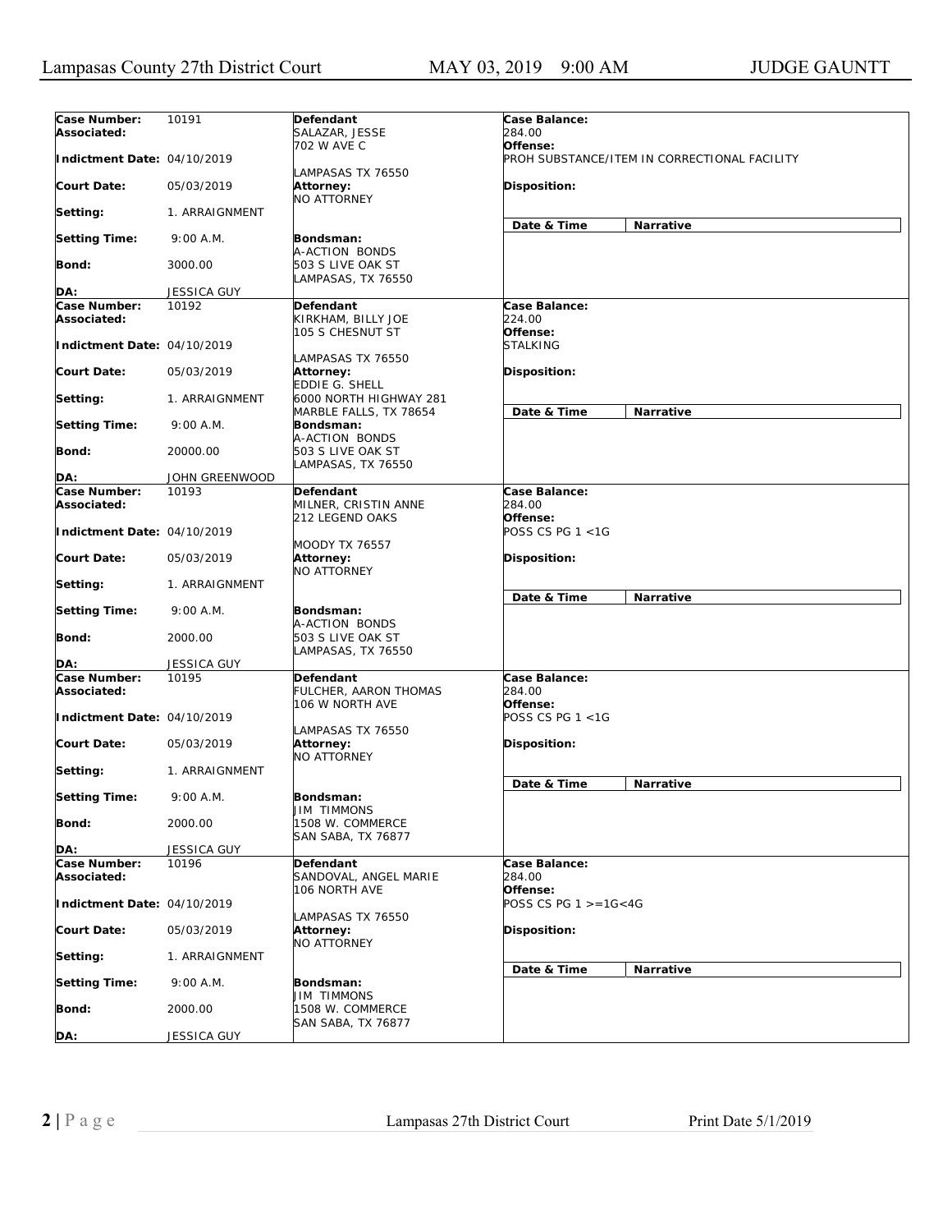| Case Number:<br>Associated: | 10191              | Defendant<br>SALAZAR, JESSE                                         | Case Balance:<br>284.00                |                                              |
|-----------------------------|--------------------|---------------------------------------------------------------------|----------------------------------------|----------------------------------------------|
|                             |                    | 702 W AVE C                                                         | Offense:                               |                                              |
| Indictment Date: 04/10/2019 |                    | LAMPASAS TX 76550                                                   |                                        | PROH SUBSTANCE/ITEM IN CORRECTIONAL FACILITY |
| <b>Court Date:</b>          | 05/03/2019         | Attorney:<br><b>NO ATTORNEY</b>                                     | Disposition:                           |                                              |
| Setting:                    | 1. ARRAIGNMENT     |                                                                     | Date & Time                            | Narrative                                    |
| <b>Setting Time:</b>        | 9:00 A.M.          | Bondsman:<br>A-ACTION BONDS                                         |                                        |                                              |
| Bond:                       | 3000.00            | 503 S LIVE OAK ST<br>LAMPASAS, TX 76550                             |                                        |                                              |
| DA:                         | <b>JESSICA GUY</b> |                                                                     |                                        |                                              |
| Case Number:                | 10192              | Defendant                                                           | Case Balance:                          |                                              |
| Associated:                 |                    | KIRKHAM, BILLY JOE<br>105 S CHESNUT ST                              | 224.00<br>Offense:                     |                                              |
| Indictment Date: 04/10/2019 |                    | LAMPASAS TX 76550                                                   | <i>STALKING</i>                        |                                              |
| Court Date:                 | 05/03/2019         | Attorney:<br>EDDIE G. SHELL                                         | <b>Disposition:</b>                    |                                              |
| Setting:                    | 1. ARRAIGNMENT     | 6000 NORTH HIGHWAY 281<br>MARBLE FALLS, TX 78654                    | Date & Time                            | Narrative                                    |
| <b>Setting Time:</b>        | 9:00 A.M.          | Bondsman:<br>A-ACTION BONDS                                         |                                        |                                              |
| Bond:                       | 20000.00           | 503 S LIVE OAK ST<br>LAMPASAS, TX 76550                             |                                        |                                              |
| DA:                         | JOHN GREENWOOD     |                                                                     |                                        |                                              |
| Case Number:<br>Associated: | 10193              | <b>Defendant</b><br>MILNER, CRISTIN ANNE                            | Case Balance:<br>284.00                |                                              |
| Indictment Date: 04/10/2019 |                    | 212 LEGEND OAKS<br><b>MOODY TX 76557</b>                            | Offense:<br>POSS CS PG 1 <1G           |                                              |
| Court Date:                 | 05/03/2019         | Attorney:<br><b>NO ATTORNEY</b>                                     | <b>Disposition:</b>                    |                                              |
| Setting:                    | 1. ARRAIGNMENT     |                                                                     | Date & Time                            | Narrative                                    |
| <b>Setting Time:</b>        | 9:00 A.M.          | Bondsman:<br>A-ACTION BONDS                                         |                                        |                                              |
| Bond:                       | 2000.00            | 503 S LIVE OAK ST<br>LAMPASAS, TX 76550                             |                                        |                                              |
| DA:                         | <b>JESSICA GUY</b> |                                                                     |                                        |                                              |
| Case Number:<br>Associated: | 10195              | Defendant<br>FULCHER, AARON THOMAS<br>106 W NORTH AVE               | Case Balance:<br>284.00<br>Offense:    |                                              |
| Indictment Date: 04/10/2019 |                    | LAMPASAS TX 76550                                                   | POSS CS PG 1 <1G                       |                                              |
| Court Date:                 | 05/03/2019         | Attorney:<br>NO ATTORNEY                                            | <b>Disposition:</b>                    |                                              |
| Setting:                    | 1. ARRAIGNMENT     |                                                                     |                                        |                                              |
| <b>Setting Time:</b>        | 9:00 A.M.          | Bondsman:                                                           | Date & Time                            | Narrative                                    |
| Bond:                       | 2000.00            | <b>JIM TIMMONS</b><br>1508 W. COMMERCE<br><b>SAN SABA, TX 76877</b> |                                        |                                              |
| DA:                         | <b>JESSICA GUY</b> |                                                                     |                                        |                                              |
| Case Number:<br>Associated: | 10196              | Defendant<br>SANDOVAL, ANGEL MARIE                                  | Case Balance:<br><i>284.00</i>         |                                              |
| Indictment Date: 04/10/2019 |                    | 106 NORTH AVE                                                       | Offense:<br>POSS CS PG $1 > = 1G < 4G$ |                                              |
| <b>Court Date:</b>          | 05/03/2019         | LAMPASAS TX 76550<br><b>Attorney:</b><br>NO ATTORNEY                | Disposition:                           |                                              |
| Setting:                    | 1. ARRAIGNMENT     |                                                                     |                                        |                                              |
| <b>Setting Time:</b>        | 9:00 A.M.          | Bondsman:<br>JIM TIMMONS                                            | Date & Time                            | Narrative                                    |
| Bond:                       | 2000.00            | 1508 W. COMMERCE                                                    |                                        |                                              |
| DA:                         | JESSICA GUY        | SAN SABA, TX 76877                                                  |                                        |                                              |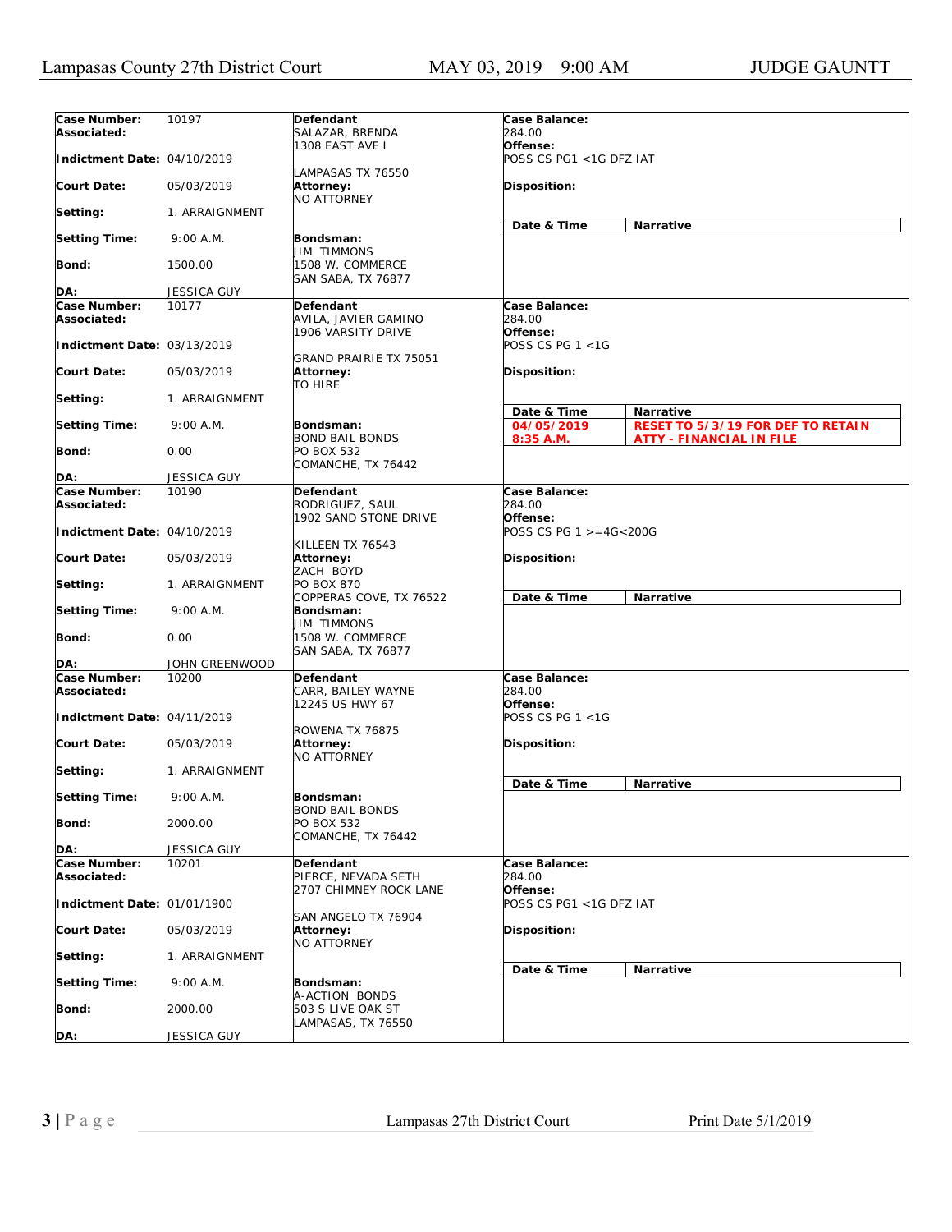| Case Number:<br>Associated: | 10197              | Defendant<br>SALAZAR, BRENDA                               | Case Balance:<br>284.00             |                                   |
|-----------------------------|--------------------|------------------------------------------------------------|-------------------------------------|-----------------------------------|
| Indictment Date: 04/10/2019 |                    | 1308 EAST AVE I                                            | Offense:<br>POSS CS PG1 <1G DFZ IAT |                                   |
|                             |                    | LAMPASAS TX 76550                                          |                                     |                                   |
| <b>Court Date:</b>          | 05/03/2019         | Attorney:<br><b>NO ATTORNEY</b>                            | Disposition:                        |                                   |
| Setting:                    | 1. ARRAIGNMENT     |                                                            | Date & Time                         | Narrative                         |
| <b>Setting Time:</b>        | 9:00 A.M.          | Bondsman:<br><b>JIM TIMMONS</b>                            |                                     |                                   |
| <b>Bond:</b>                | 1500.00            | 1508 W. COMMERCE<br>SAN SABA, TX 76877                     |                                     |                                   |
| DA:                         | <b>JESSICA GUY</b> |                                                            |                                     |                                   |
| Case Number:                | 10177              | Defendant                                                  | Case Balance:                       |                                   |
| Associated:                 |                    | AVILA, JAVIER GAMINO<br>1906 VARSITY DRIVE                 | 284.00<br>Offense:                  |                                   |
| Indictment Date: 03/13/2019 |                    | GRAND PRAIRIE TX 75051                                     | POSS CS PG 1 <1G                    |                                   |
| <b>Court Date:</b>          | 05/03/2019         | Attorney:<br><b>TO HIRE</b>                                | <b>Disposition:</b>                 |                                   |
| Setting:                    | 1. ARRAIGNMENT     |                                                            | Date & Time                         | Narrative                         |
| <b>Setting Time:</b>        | 9:00 A.M.          | Bondsman:                                                  | 04/05/2019                          | RESET TO 5/3/19 FOR DEF TO RETAIN |
| <b>Bond:</b>                | 0.00               | <b>BOND BAIL BONDS</b><br>PO BOX 532<br>COMANCHE, TX 76442 | 8:35 A.M.                           | <b>ATTY - FINANCIAL IN FILE</b>   |
| DA:                         | <b>JESSICA GUY</b> |                                                            |                                     |                                   |
| Case Number:                | 10190              | Defendant                                                  | Case Balance:                       |                                   |
| Associated:                 |                    | RODRIGUEZ, SAUL                                            | 284.00                              |                                   |
| Indictment Date: 04/10/2019 |                    | 1902 SAND STONE DRIVE                                      | Offense:<br>POSS CS PG 1 >=4G<200G  |                                   |
| <b>Court Date:</b>          | 05/03/2019         | KILLEEN TX 76543<br>Attorney:<br>ZACH BOYD                 | <b>Disposition:</b>                 |                                   |
| Setting:                    | 1. ARRAIGNMENT     | <b>PO BOX 870</b><br>COPPERAS COVE, TX 76522               | Date & Time                         | Narrative                         |
| <b>Setting Time:</b>        | 9:00 A.M.          | Bondsman:<br><b>JIM TIMMONS</b>                            |                                     |                                   |
| Bond:                       | 0.00               | 1508 W. COMMERCE<br>SAN SABA, TX 76877                     |                                     |                                   |
| DA:                         | JOHN GREENWOOD     |                                                            |                                     |                                   |
| Case Number:<br>Associated: | 10200              | Defendant<br>CARR, BAILEY WAYNE                            | Case Balance:<br>284.00             |                                   |
| Indictment Date: 04/11/2019 |                    | 12245 US HWY 67                                            | Offense:<br>POSS CS PG 1 <1G        |                                   |
| <b>Court Date:</b>          | 05/03/2019         | ROWENA TX 76875<br>Attorney:                               | <b>Disposition:</b>                 |                                   |
| Setting:                    | 1. ARRAIGNMENT     | <b>NO ATTORNEY</b>                                         |                                     |                                   |
| <b>Setting Time:</b>        | 9:00 A.M.          | Bondsman:                                                  | Date & Time                         | Narrative                         |
| <b>Bond:</b>                | 2000.00            | <b>BOND BAIL BONDS</b><br>PO BOX 532                       |                                     |                                   |
| DA:                         | <b>JESSICA GUY</b> | COMANCHE, TX 76442                                         |                                     |                                   |
| Case Number:                | 10201              | Defendant                                                  | Case Balance:                       |                                   |
| Associated:                 |                    | PIERCE, NEVADA SETH<br>2707 CHIMNEY ROCK LANE              | 284.00<br>Offense:                  |                                   |
| Indictment Date: 01/01/1900 |                    | SAN ANGELO TX 76904                                        | POSS CS PG1 <1G DFZ IAT             |                                   |
| <b>Court Date:</b>          | 05/03/2019         | Attorney:<br><b>NO ATTORNEY</b>                            | Disposition:                        |                                   |
| Setting:                    | 1. ARRAIGNMENT     |                                                            | Date & Time                         | Narrative                         |
| <b>Setting Time:</b>        | 9:00 A.M.          | Bondsman:<br>A-ACTION BONDS                                |                                     |                                   |
| <b>Bond:</b>                | 2000.00            | 503 S LIVE OAK ST                                          |                                     |                                   |
| DA:                         | JESSICA GUY        | LAMPASAS, TX 76550                                         |                                     |                                   |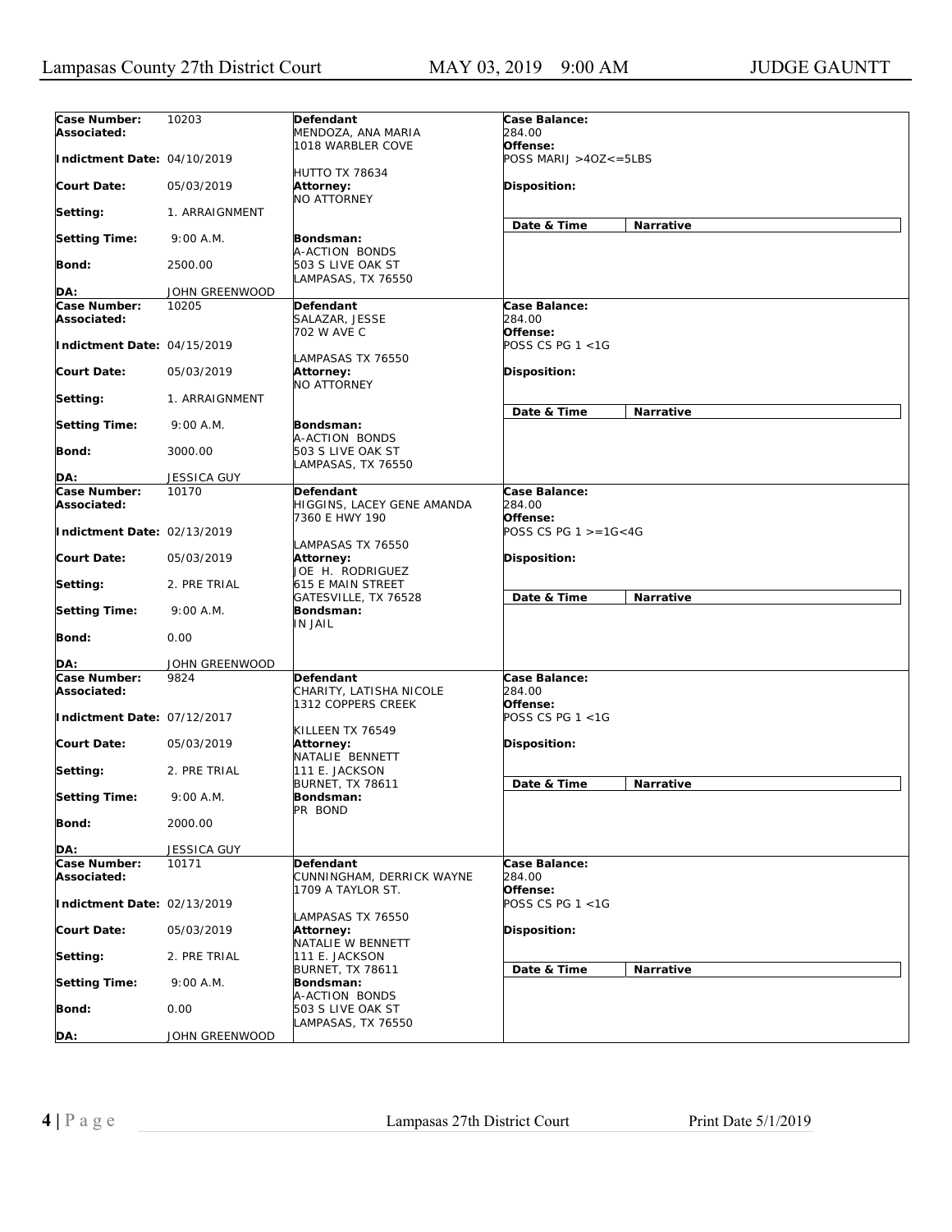| Case Number:<br>Associated: | 10203              | Defendant<br>MENDOZA, ANA MARIA                                 | Case Balance:<br>284.00             |                  |
|-----------------------------|--------------------|-----------------------------------------------------------------|-------------------------------------|------------------|
| Indictment Date: 04/10/2019 |                    | 1018 WARBLER COVE                                               | Offense:<br>POSS MARIJ >40Z<=5LBS   |                  |
| <b>Court Date:</b>          | 05/03/2019         | <b>HUTTO TX 78634</b><br><b>Attorney:</b><br><b>NO ATTORNEY</b> | Disposition:                        |                  |
| Setting:                    | 1. ARRAIGNMENT     |                                                                 |                                     |                  |
| <b>Setting Time:</b>        | 9:00 A.M.          | Bondsman:<br>A-ACTION BONDS                                     | Date & Time                         | Narrative        |
| Bond:                       | 2500.00            | 503 S LIVE OAK ST<br>LAMPASAS, TX 76550                         |                                     |                  |
| DA:                         | JOHN GREENWOOD     |                                                                 |                                     |                  |
| Case Number:                | 10205              | Defendant                                                       | Case Balance:                       |                  |
| Associated:                 |                    | SALAZAR, JESSE<br>702 W AVE C                                   | 284.00<br>Offense:                  |                  |
| Indictment Date: 04/15/2019 |                    | LAMPASAS TX 76550                                               | POSS CS PG 1 <1G                    |                  |
| <b>Court Date:</b>          | 05/03/2019         | Attorney:<br>NO ATTORNEY                                        | <b>Disposition:</b>                 |                  |
| Setting:                    | 1. ARRAIGNMENT     |                                                                 | Date & Time                         | Narrative        |
| <b>Setting Time:</b>        | 9:00 A.M.          | Bondsman:                                                       |                                     |                  |
| Bond:                       | 3000.00            | A-ACTION BONDS<br>503 S LIVE OAK ST<br>LAMPASAS, TX 76550       |                                     |                  |
| DA:                         | JESSICA GUY        |                                                                 |                                     |                  |
| Case Number:                | 10170              | <b>Defendant</b>                                                | Case Balance:                       |                  |
| Associated:                 |                    | HIGGINS, LACEY GENE AMANDA<br>7360 E HWY 190                    | 284.00<br>Offense:                  |                  |
| Indictment Date: 02/13/2019 |                    | LAMPASAS TX 76550                                               | POSS CS PG $1 > = 16 < 4G$          |                  |
| <b>Court Date:</b>          | 05/03/2019         | Attorney:<br>JOE H. RODRIGUEZ                                   | <b>Disposition:</b>                 |                  |
| Setting:                    | 2. PRE TRIAL       | 615 E MAIN STREET<br>GATESVILLE, TX 76528                       | Date & Time                         | <b>Narrative</b> |
| <b>Setting Time:</b>        | 9:00 A.M.          | Bondsman:<br>IN JAIL                                            |                                     |                  |
| Bond:                       | 0.00               |                                                                 |                                     |                  |
| DA:                         | JOHN GREENWOOD     |                                                                 |                                     |                  |
| Case Number:<br>Associated: | 9824               | Defendant<br>CHARITY, LATISHA NICOLE<br>1312 COPPERS CREEK      | Case Balance:<br>284.00<br>Offense: |                  |
| Indictment Date: 07/12/2017 |                    |                                                                 | POSS CS PG 1 <1G                    |                  |
| Court Date:                 | 05/03/2019         | KILLEEN TX 76549<br>Attorney:<br>NATALIE BENNETT                | <b>Disposition:</b>                 |                  |
| Setting:                    | 2. PRE TRIAL       | 111 E. JACKSON                                                  | Date & Time                         |                  |
| <b>Setting Time:</b>        | 9:00 A.M.          | <b>BURNET, TX 78611</b><br>Bondsman:<br>PR BOND                 |                                     | Narrative        |
| Bond:                       | 2000.00            |                                                                 |                                     |                  |
| DA:                         | <b>JESSICA GUY</b> |                                                                 |                                     |                  |
| Case Number:<br>Associated: | 10171              | Defendant<br>CUNNINGHAM, DERRICK WAYNE                          | Case Balance:<br>284.00             |                  |
| Indictment Date: 02/13/2019 |                    | 1709 A TAYLOR ST.                                               | Offense:<br>POSS CS PG 1 <1G        |                  |
| <b>Court Date:</b>          | 05/03/2019         | LAMPASAS TX 76550<br>Attorney:<br>NATALIE W BENNETT             | Disposition:                        |                  |
| Setting:                    | 2. PRE TRIAL       | 111 E. JACKSON                                                  |                                     |                  |
| <b>Setting Time:</b>        | 9:00 A.M.          | <b>BURNET, TX 78611</b><br>Bondsman:                            | Date & Time                         | Narrative        |
| <b>Bond:</b>                | 0.00               | A-ACTION BONDS<br>503 S LIVE OAK ST                             |                                     |                  |
| DA:                         | JOHN GREENWOOD     | LAMPASAS, TX 76550                                              |                                     |                  |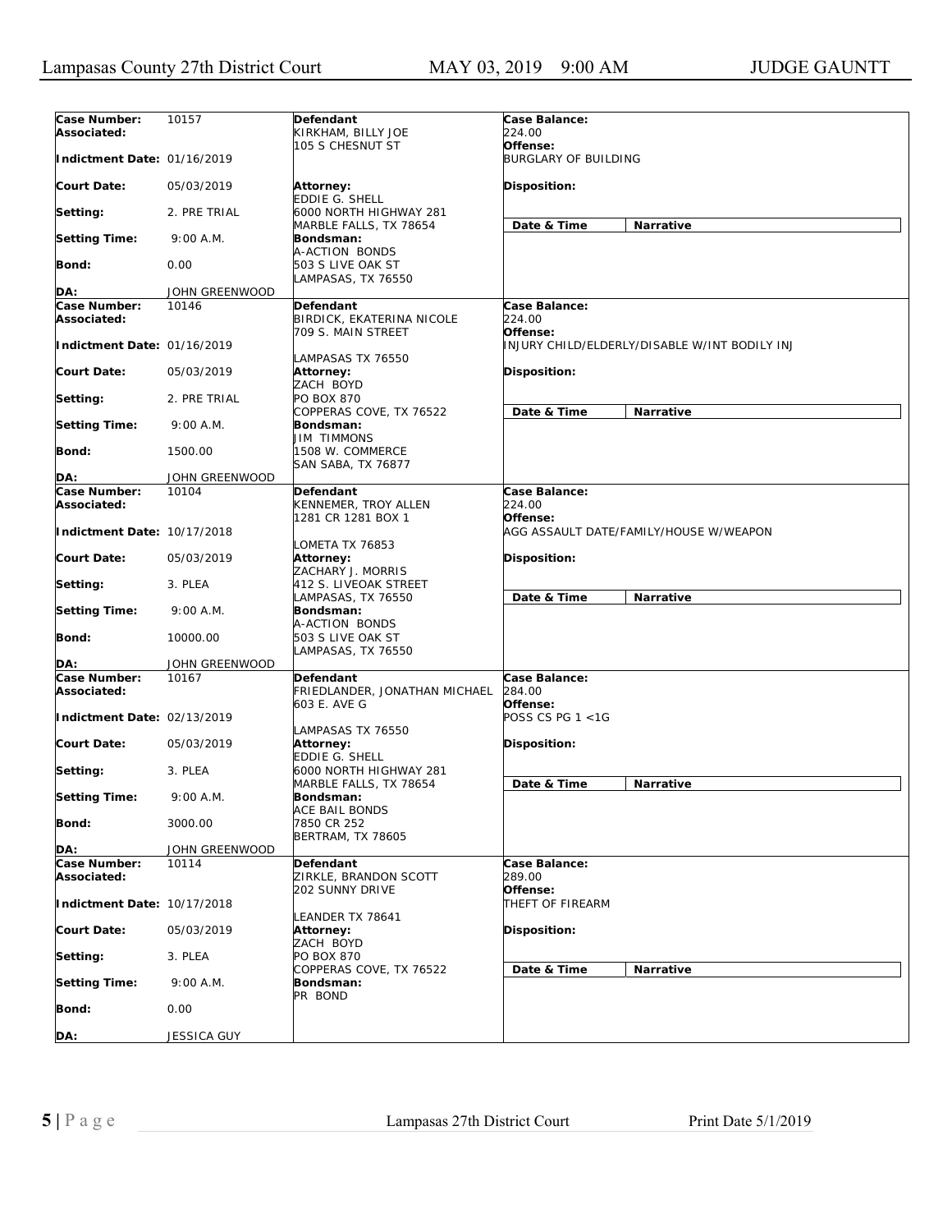| Case Number:<br>Associated: | 10157          | Defendant<br>KIRKHAM, BILLY JOE                            | Case Balance:<br>224.00                            |
|-----------------------------|----------------|------------------------------------------------------------|----------------------------------------------------|
| Indictment Date: 01/16/2019 |                | 105 S CHESNUT ST                                           | Offense:<br><b>BURGLARY OF BUILDING</b>            |
| <b>Court Date:</b>          | 05/03/2019     | <b>Attorney:</b><br>EDDIE G. SHELL                         | Disposition:                                       |
| Setting:                    | 2. PRE TRIAL   | 6000 NORTH HIGHWAY 281<br>MARBLE FALLS, TX 78654           | Date & Time<br>Narrative                           |
| <b>Setting Time:</b>        | 9:00 A.M.      | Bondsman:<br>A-ACTION BONDS                                |                                                    |
| Bond:                       | 0.00           | 503 S LIVE OAK ST<br>LAMPASAS, TX 76550                    |                                                    |
| DA:                         | JOHN GREENWOOD |                                                            |                                                    |
| Case Number:                | 10146          | <b>Defendant</b>                                           | Case Balance:                                      |
| Associated:                 |                | BIRDICK, EKATERINA NICOLE<br>709 S. MAIN STREET            | 224.00<br>Offense:                                 |
| Indictment Date: 01/16/2019 |                | LAMPASAS TX 76550                                          | INJURY CHILD/ELDERLY/DISABLE W/INT BODILY INJ      |
| <b>Court Date:</b>          | 05/03/2019     | Attorney:<br>ZACH BOYD                                     | Disposition:                                       |
| Setting:                    | 2. PRE TRIAL   | <b>PO BOX 870</b><br>COPPERAS COVE, TX 76522               | Date & Time<br>Narrative                           |
| <b>Setting Time:</b>        | 9:00 A.M.      | Bondsman:<br><b>JIM TIMMONS</b>                            |                                                    |
| Bond:                       | 1500.00        | 1508 W. COMMERCE<br>SAN SABA, TX 76877                     |                                                    |
| DA:                         | JOHN GREENWOOD |                                                            |                                                    |
| Case Number:                | 10104          | Defendant                                                  | Case Balance:                                      |
| Associated:                 |                | KENNEMER, TROY ALLEN                                       | 224.00                                             |
| Indictment Date: 10/17/2018 |                | 1281 CR 1281 BOX 1                                         | Offense:<br>AGG ASSAULT DATE/FAMILY/HOUSE W/WEAPON |
| <b>Court Date:</b>          | 05/03/2019     | LOMETA TX 76853<br>Attorney:<br>ZACHARY J. MORRIS          | Disposition:                                       |
| Setting:                    | 3. PLEA        | 412 S. LIVEOAK STREET<br>LAMPASAS, TX 76550                | Date & Time<br>Narrative                           |
| <b>Setting Time:</b>        | 9:00 A.M.      | Bondsman:<br>A-ACTION BONDS                                |                                                    |
| <b>Bond:</b>                | 10000.00       | 503 S LIVE OAK ST<br>LAMPASAS, TX 76550                    |                                                    |
| DA:                         | JOHN GREENWOOD |                                                            |                                                    |
| Case Number:<br>Associated: | 10167          | Defendant<br>FRIEDLANDER, JONATHAN MICHAEL<br>603 E. AVE G | Case Balance:<br>284.00<br>Offense:                |
| Indictment Date: 02/13/2019 |                | LAMPASAS TX 76550                                          | POSS CS PG 1 <1G                                   |
| <b>Court Date:</b>          | 05/03/2019     | Attorney:<br>EDDIE G. SHELL                                | <b>Disposition:</b>                                |
| Setting:                    | 3. PLEA        | 6000 NORTH HIGHWAY 281<br>MARBLE FALLS, TX 78654           |                                                    |
| <b>Setting Time:</b>        | 9:00 A.M.      | Bondsman:                                                  | Date & Time<br>Narrative                           |
| <b>Bond:</b>                | 3000.00        | ACE BAIL BONDS<br>7850 CR 252<br><b>BERTRAM, TX 78605</b>  |                                                    |
| DA:                         | JOHN GREENWOOD |                                                            |                                                    |
| Case Number:                | 10114          | Defendant                                                  | Case Balance:                                      |
| Associated:                 |                | ZIRKLE, BRANDON SCOTT<br>202 SUNNY DRIVE                   | 289.00<br>Offense:                                 |
| Indictment Date: 10/17/2018 |                | LEANDER TX 78641                                           | THEFT OF FIREARM                                   |
| <b>Court Date:</b>          | 05/03/2019     | Attorney:<br>ZACH BOYD                                     | Disposition:                                       |
| Setting:                    | 3. PLEA        | PO BOX 870<br>COPPERAS COVE, TX 76522                      | Date & Time<br>Narrative                           |
| <b>Setting Time:</b>        | 9:00 A.M.      | Bondsman:<br>PR BOND                                       |                                                    |
| <b>Bond:</b>                | 0.00           |                                                            |                                                    |
| DA:                         | JESSICA GUY    |                                                            |                                                    |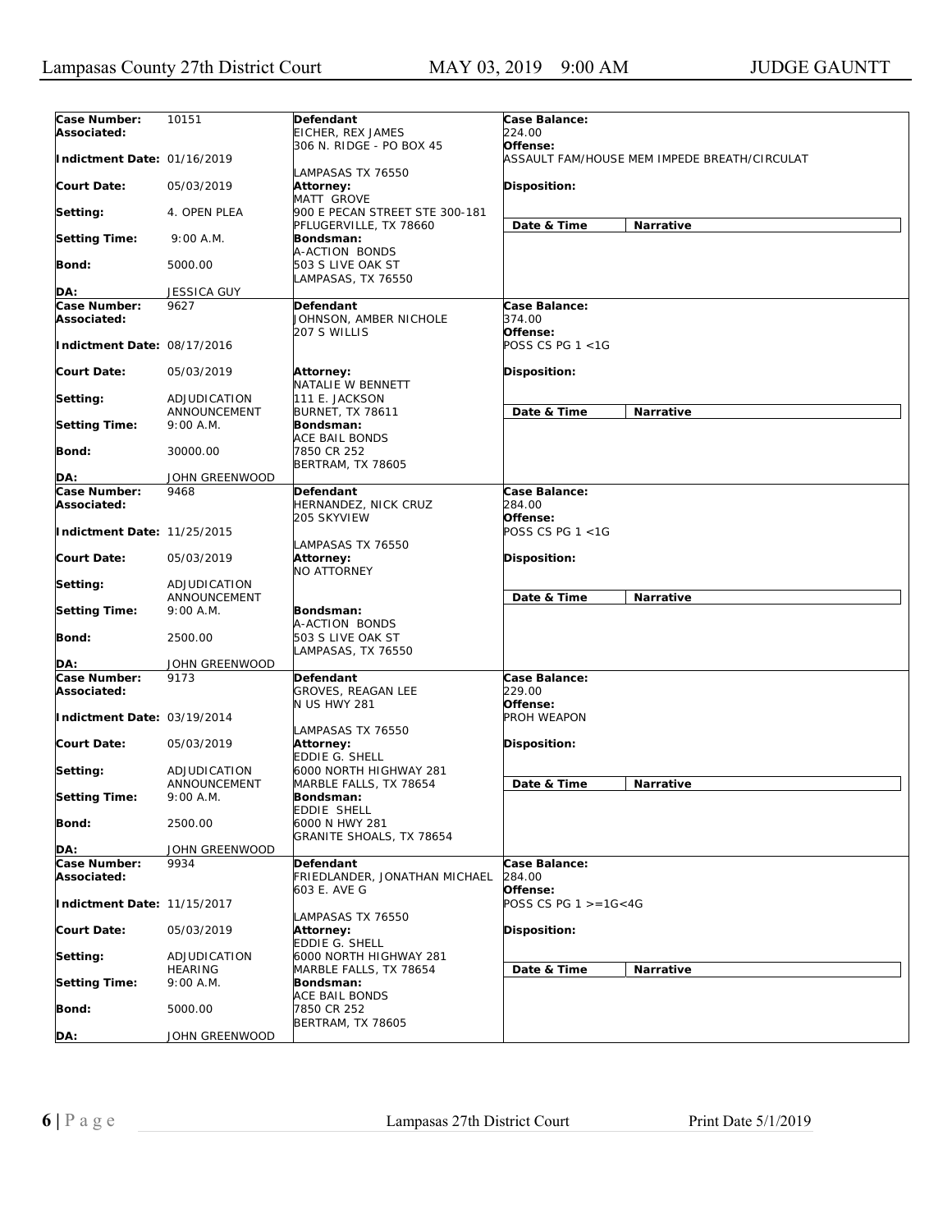| Case Number:                | 10151                | Defendant                      | Case Balance:              |                                              |
|-----------------------------|----------------------|--------------------------------|----------------------------|----------------------------------------------|
| Associated:                 |                      | EICHER, REX JAMES              | 224.00                     |                                              |
|                             |                      | 306 N. RIDGE - PO BOX 45       | Offense:                   |                                              |
| Indictment Date: 01/16/2019 |                      |                                |                            | ASSAULT FAM/HOUSE MEM IMPEDE BREATH/CIRCULAT |
|                             |                      | LAMPASAS TX 76550              |                            |                                              |
| <b>Court Date:</b>          | 05/03/2019           | Attorney:                      | Disposition:               |                                              |
|                             |                      | MATT GROVE                     |                            |                                              |
| Setting:                    | 4. OPEN PLEA         | 900 E PECAN STREET STE 300-181 |                            |                                              |
|                             |                      | PFLUGERVILLE, TX 78660         | Date & Time                | Narrative                                    |
| <b>Setting Time:</b>        | 9:00 A.M.            | Bondsman:                      |                            |                                              |
|                             |                      | A-ACTION BONDS                 |                            |                                              |
|                             | 5000.00              | 503 S LIVE OAK ST              |                            |                                              |
| Bond:                       |                      |                                |                            |                                              |
|                             |                      | LAMPASAS, TX 76550             |                            |                                              |
| DA:                         | <b>JESSICA GUY</b>   |                                |                            |                                              |
| Case Number:                | 9627                 | Defendant                      | Case Balance:              |                                              |
| Associated:                 |                      | JOHNSON, AMBER NICHOLE         | 374.00                     |                                              |
|                             |                      | 207 S WILLIS                   | Offense:                   |                                              |
| Indictment Date: 08/17/2016 |                      |                                | POSS CS PG 1 <1G           |                                              |
|                             |                      |                                |                            |                                              |
| <b>Court Date:</b>          | 05/03/2019           | Attorney:                      | Disposition:               |                                              |
|                             |                      | NATALIE W BENNETT              |                            |                                              |
| Setting:                    | ADJUDICATION         | 111 E. JACKSON                 |                            |                                              |
|                             | ANNOUNCEMENT         | <b>BURNET, TX 78611</b>        | Date & Time                | Narrative                                    |
| <b>Setting Time:</b>        | 9:00 A.M.            | Bondsman:                      |                            |                                              |
|                             |                      | ACE BAIL BONDS                 |                            |                                              |
| Bond:                       | 30000.00             | 7850 CR 252                    |                            |                                              |
|                             |                      | BERTRAM, TX 78605              |                            |                                              |
| DA:                         | JOHN GREENWOOD       |                                |                            |                                              |
| Case Number:                | 9468                 | Defendant                      | Case Balance:              |                                              |
| Associated:                 |                      | HERNANDEZ, NICK CRUZ           | 284.00                     |                                              |
|                             |                      | 205 SKYVIEW                    | Offense:                   |                                              |
| Indictment Date: 11/25/2015 |                      |                                | POSS CS PG 1 <1G           |                                              |
|                             |                      | LAMPASAS TX 76550              |                            |                                              |
| <b>Court Date:</b>          | 05/03/2019           | Attorney:                      | Disposition:               |                                              |
|                             |                      | NO ATTORNEY                    |                            |                                              |
|                             |                      |                                |                            |                                              |
| Setting:                    | ADJUDICATION         |                                |                            |                                              |
|                             | ANNOUNCEMENT         |                                | Date & Time                | Narrative                                    |
| <b>Setting Time:</b>        | 9:00 A.M.            | Bondsman:                      |                            |                                              |
|                             |                      | A-ACTION BONDS                 |                            |                                              |
| Bond:                       | 2500.00              | 503 S LIVE OAK ST              |                            |                                              |
|                             |                      | LAMPASAS, TX 76550             |                            |                                              |
| DA:                         | JOHN GREENWOOD       |                                |                            |                                              |
| Case Number:                | 9173                 | Defendant                      | Case Balance:              |                                              |
| Associated:                 |                      | <b>GROVES, REAGAN LEE</b>      | 229.00                     |                                              |
|                             |                      | <b>N US HWY 281</b>            | Offense:                   |                                              |
| Indictment Date: 03/19/2014 |                      |                                | PROH WEAPON                |                                              |
|                             |                      | LAMPASAS TX 76550              |                            |                                              |
| <b>Court Date:</b>          | 05/03/2019           | Attorney:                      | <b>Disposition:</b>        |                                              |
|                             |                      | EDDIE G. SHELL                 |                            |                                              |
| Setting:                    | ADJUDICATION         | 6000 NORTH HIGHWAY 281         |                            |                                              |
|                             | ANNOUNCEMENT         | MARBLE FALLS, TX 78654         | Date & Time                | Narrative                                    |
| <b>Setting Time:</b>        | 9:00 A.M.            | Bondsman:                      |                            |                                              |
|                             |                      | EDDIE SHELL                    |                            |                                              |
| Bond:                       | 2500.00              | 6000 N HWY 281                 |                            |                                              |
|                             |                      | GRANITE SHOALS, TX 78654       |                            |                                              |
| DA:                         | JOHN GREENWOOD       |                                |                            |                                              |
| Case Number:                | 9934                 | <b>Defendant</b>               | Case Balance:              |                                              |
| Associated:                 |                      | FRIEDLANDER, JONATHAN MICHAEL  | 284.00                     |                                              |
|                             |                      | 603 E. AVE G                   | Offense:                   |                                              |
| Indictment Date: 11/15/2017 |                      |                                | POSS CS PG $1 > = 16 < 4G$ |                                              |
|                             |                      | LAMPASAS TX 76550              |                            |                                              |
| <b>Court Date:</b>          |                      |                                | Disposition:               |                                              |
|                             | 05/03/2019           | Attorney:<br>EDDIE G. SHELL    |                            |                                              |
|                             | ADJUDICATION         |                                |                            |                                              |
| Setting:                    |                      | 6000 NORTH HIGHWAY 281         |                            |                                              |
|                             | HEARING<br>9:00 A.M. | MARBLE FALLS, TX 78654         | Date & Time                | Narrative                                    |
| <b>Setting Time:</b>        |                      | Bondsman:                      |                            |                                              |
|                             |                      | <b>ACE BAIL BONDS</b>          |                            |                                              |
| <b>Bond:</b>                | 5000.00              | 7850 CR 252                    |                            |                                              |
|                             |                      | BERTRAM, TX 78605              |                            |                                              |
| DA:                         | JOHN GREENWOOD       |                                |                            |                                              |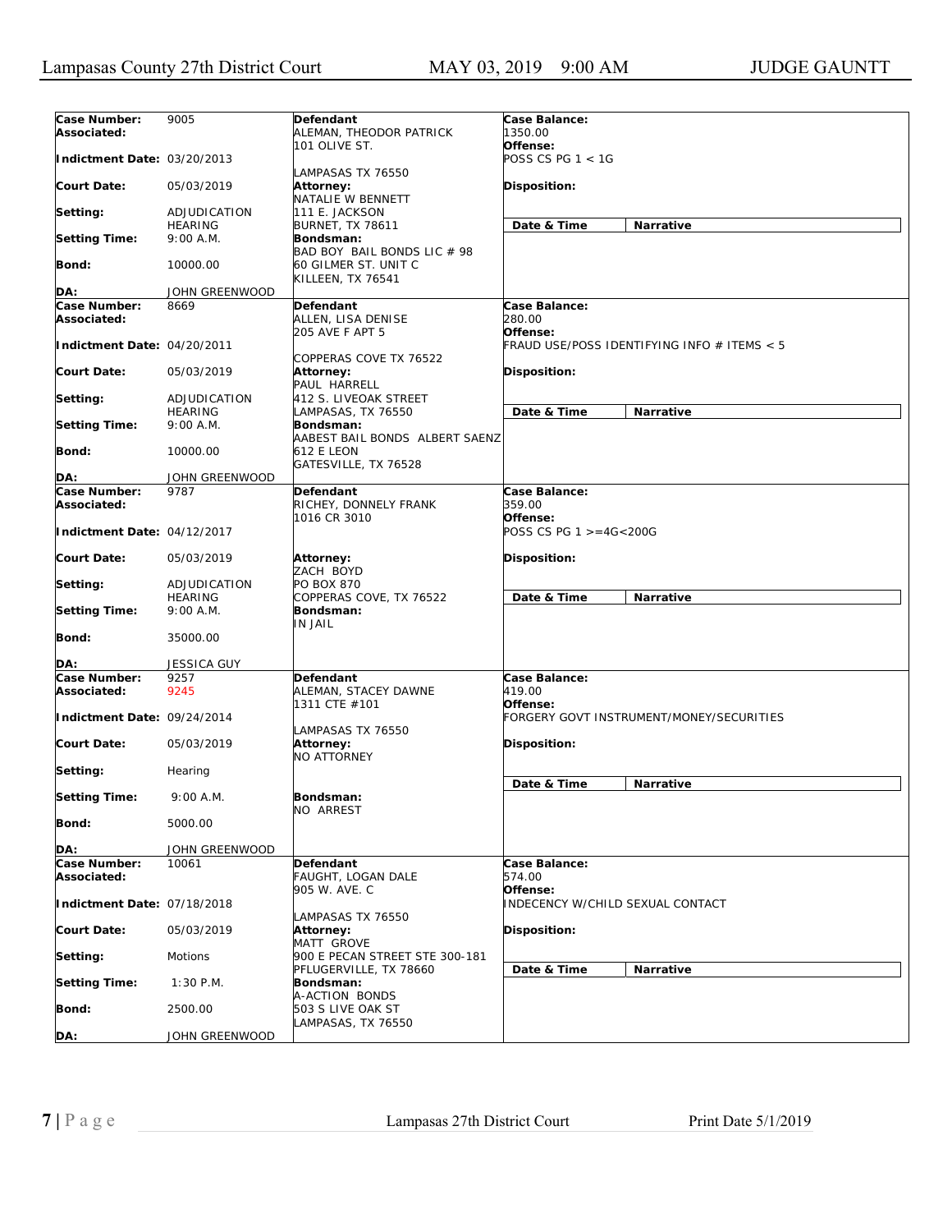| Case Number:                | 9005                           | Defendant                                    | Case Balance:                                           |
|-----------------------------|--------------------------------|----------------------------------------------|---------------------------------------------------------|
| Associated:                 |                                | ALEMAN, THEODOR PATRICK                      | 1350.00                                                 |
|                             |                                | 101 OLIVE ST.                                | Offense:                                                |
| Indictment Date: 03/20/2013 |                                | LAMPASAS TX 76550                            | POSS CS PG 1 < 1G                                       |
| <b>Court Date:</b>          | 05/03/2019                     | Attorney:                                    | Disposition:                                            |
|                             |                                | NATALIE W BENNETT                            |                                                         |
| Setting:                    | ADJUDICATION<br><b>HEARING</b> | 111 E. JACKSON<br><b>BURNET, TX 78611</b>    | Date & Time<br>Narrative                                |
| <b>Setting Time:</b>        | 9:00 A.M.                      | Bondsman:                                    |                                                         |
|                             |                                | BAD BOY BAIL BONDS LIC # 98                  |                                                         |
| <b>Bond:</b>                | 10000.00                       | 60 GILMER ST. UNIT C<br>KILLEEN, TX 76541    |                                                         |
| DA:                         | JOHN GREENWOOD                 |                                              |                                                         |
| Case Number:                | 8669                           | Defendant                                    | Case Balance:                                           |
| Associated:                 |                                | ALLEN, LISA DENISE                           | 280.00                                                  |
| Indictment Date: 04/20/2011 |                                | 205 AVE F APT 5                              | Offense:<br>FRAUD USE/POSS IDENTIFYING INFO # ITEMS < 5 |
|                             |                                | COPPERAS COVE TX 76522                       |                                                         |
| Court Date:                 | 05/03/2019                     | Attorney:                                    | Disposition:                                            |
|                             |                                | PAUL HARRELL                                 |                                                         |
| Setting:                    | ADJUDICATION<br><b>HEARING</b> | 412 S. LIVEOAK STREET<br>LAMPASAS, TX 76550  | Date & Time<br>Narrative                                |
| <b>Setting Time:</b>        | 9:00 A.M.                      | Bondsman:                                    |                                                         |
|                             |                                | AABEST BAIL BONDS ALBERT SAENZ               |                                                         |
| <b>Bond:</b>                | 10000.00                       | 612 E LEON                                   |                                                         |
| DA:                         | JOHN GREENWOOD                 | GATESVILLE, TX 76528                         |                                                         |
| Case Number:                | 9787                           | Defendant                                    | Case Balance:                                           |
| Associated:                 |                                | RICHEY, DONNELY FRANK                        | 359.00                                                  |
|                             |                                | 1016 CR 3010                                 | Offense:                                                |
| Indictment Date: 04/12/2017 |                                |                                              | POSS CS PG 1 >=4G<200G                                  |
| Court Date:                 | 05/03/2019                     | Attorney:<br>ZACH BOYD                       | Disposition:                                            |
| Setting:                    | ADJUDICATION                   | PO BOX 870                                   |                                                         |
|                             | <b>HEARING</b>                 | COPPERAS COVE, TX 76522                      | Date & Time<br>Narrative                                |
| <b>Setting Time:</b>        | 9:00 A.M.                      | Bondsman:<br><b>IN JAIL</b>                  |                                                         |
| Bond:                       | 35000.00                       |                                              |                                                         |
| DA:                         | JESSICA GUY                    |                                              |                                                         |
| Case Number:                | 9257                           | Defendant                                    | Case Balance:                                           |
| Associated:                 | 9245                           | ALEMAN, STACEY DAWNE                         | 419.00                                                  |
| Indictment Date: 09/24/2014 |                                | 1311 CTE #101                                | Offense:<br>FORGERY GOVT INSTRUMENT/MONEY/SECURITIES    |
|                             |                                | LAMPASAS TX 76550                            |                                                         |
| Court Date:                 | 05/03/2019                     | Attorney:                                    | <b>Disposition:</b>                                     |
|                             |                                | <b>NO ATTORNEY</b>                           |                                                         |
| Setting:                    | Hearing                        |                                              | Date & Time<br>Narrative                                |
| <b>Setting Time:</b>        | 9:00 A.M.                      | Bondsman:                                    |                                                         |
|                             | 5000.00                        | NO ARREST                                    |                                                         |
| <b>Bond:</b>                |                                |                                              |                                                         |
| DA:                         | JOHN GREENWOOD                 |                                              |                                                         |
| Case Number:                | 10061                          | Defendant                                    | Case Balance:                                           |
| Associated:                 |                                | FAUGHT, LOGAN DALE<br>905 W. AVE. C          | 574.00<br>Offense:                                      |
| Indictment Date: 07/18/2018 |                                |                                              | INDECENCY W/CHILD SEXUAL CONTACT                        |
|                             |                                | LAMPASAS TX 76550                            |                                                         |
| <b>Court Date:</b>          | 05/03/2019                     | Attorney:                                    | Disposition:                                            |
| Setting:                    | Motions                        | MATT GROVE<br>900 E PECAN STREET STE 300-181 |                                                         |
|                             |                                | PFLUGERVILLE, TX 78660                       | Date & Time<br>Narrative                                |
| <b>Setting Time:</b>        | $1:30$ P.M.                    | Bondsman:                                    |                                                         |
|                             |                                | A-ACTION BONDS                               |                                                         |
| Bond:                       | 2500.00                        | 503 S LIVE OAK ST<br>LAMPASAS, TX 76550      |                                                         |
| DA:                         | JOHN GREENWOOD                 |                                              |                                                         |